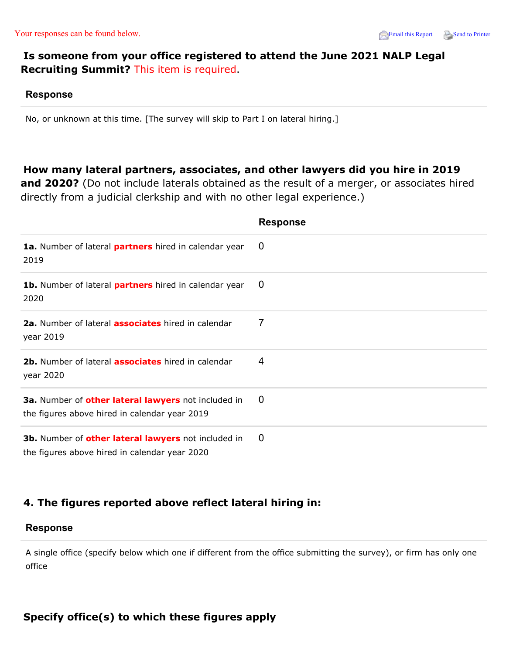# **Is someone from your office registered to attend the June 2021 NALP Legal Recruiting Summit?** This item is required.

#### **Response**

No, or unknown at this time. [The survey will skip to Part I on lateral hiring.]

## **How many lateral partners, associates, and other lawyers did you hire in 2019**

**and 2020?** (Do not include laterals obtained as the result of a merger, or associates hired directly from a judicial clerkship and with no other legal experience.)

|                                                                                                      | <b>Response</b> |
|------------------------------------------------------------------------------------------------------|-----------------|
| 1a. Number of lateral partners hired in calendar year<br>2019                                        | 0               |
| 1b. Number of lateral partners hired in calendar year<br>2020                                        | 0               |
| 2a. Number of lateral associates hired in calendar<br>year 2019                                      | 7               |
| 2b. Number of lateral <b>associates</b> hired in calendar<br>year 2020                               | 4               |
| 3a. Number of other lateral lawyers not included in<br>the figures above hired in calendar year 2019 | $\mathbf 0$     |
| 3b. Number of other lateral lawyers not included in<br>the figures above hired in calendar year 2020 | 0               |

## **4. The figures reported above reflect lateral hiring in:**

#### **Response**

A single office (specify below which one if different from the office submitting the survey), or firm has only one office

## **Specify office(s) to which these figures apply**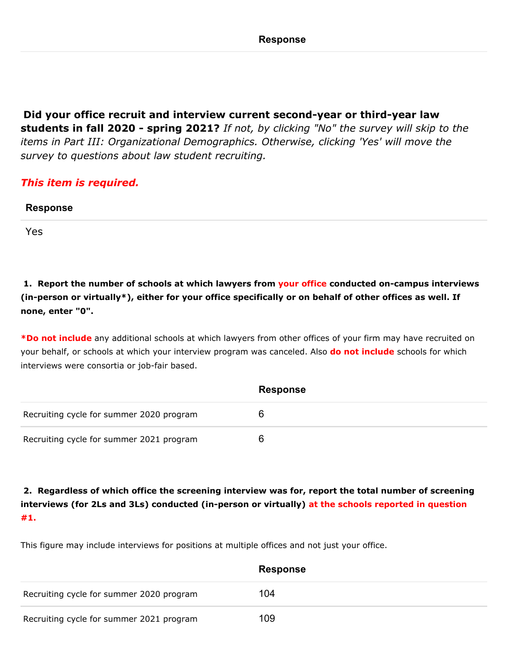**Did your office recruit and interview current second-year or third-year law students in fall 2020 - spring 2021?** *If not, by clicking "No" the survey will skip to the items in Part III: Organizational Demographics. Otherwise, clicking 'Yes' will move the survey to questions about law student recruiting.*

# *This item is required.*

**Response**

Yes

**1. Report the number of schools at which lawyers from your office conducted on-campus interviews (in-person or virtually\*), either for your office specifically or on behalf of other offices as well. If none, enter "0".**

**\*Do not include** any additional schools at which lawyers from other offices of your firm may have recruited on your behalf, or schools at which your interview program was canceled. Also **do not include** schools for which interviews were consortia or job-fair based.

|                                          | <b>Response</b> |
|------------------------------------------|-----------------|
| Recruiting cycle for summer 2020 program | b               |
| Recruiting cycle for summer 2021 program | 6               |

**2. Regardless of which office the screening interview was for, report the total number of screening interviews (for 2Ls and 3Ls) conducted (in-person or virtually) at the schools reported in question #1.**

This figure may include interviews for positions at multiple offices and not just your office.

|                                          | <b>Response</b> |
|------------------------------------------|-----------------|
| Recruiting cycle for summer 2020 program | 104             |
| Recruiting cycle for summer 2021 program | 109             |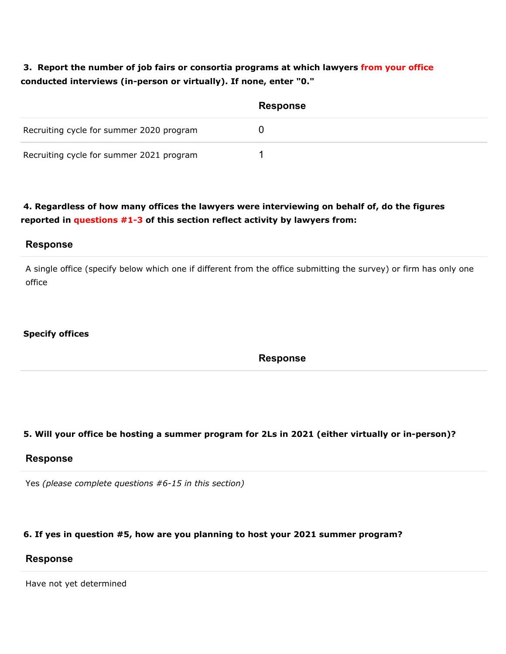# **3. Report the number of job fairs or consortia programs at which lawyers from your office conducted interviews (in-person or virtually). If none, enter "0."**

|                                          | <b>Response</b> |
|------------------------------------------|-----------------|
| Recruiting cycle for summer 2020 program |                 |
| Recruiting cycle for summer 2021 program |                 |

## **4. Regardless of how many offices the lawyers were interviewing on behalf of, do the figures reported in questions #1-3 of this section reflect activity by lawyers from:**

### **Response**

A single office (specify below which one if different from the office submitting the survey) or firm has only one office

#### **Specify offices**

**Response**

#### **5. Will your office be hosting a summer program for 2Ls in 2021 (either virtually or in-person)?**

#### **Response**

Yes *(please complete questions #6-15 in this section)*

#### **6. If yes in question #5, how are you planning to host your 2021 summer program?**

#### **Response**

Have not yet determined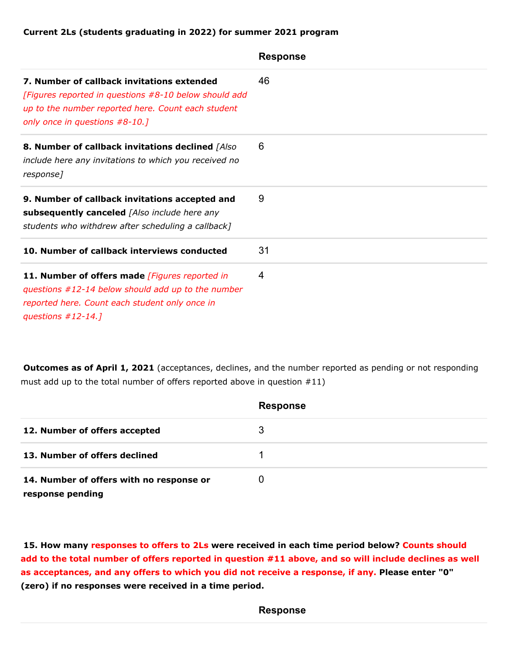#### **Current 2Ls (students graduating in 2022) for summer 2021 program**

|                                                                                                                                                                                             | <b>Response</b> |
|---------------------------------------------------------------------------------------------------------------------------------------------------------------------------------------------|-----------------|
| 7. Number of callback invitations extended<br>[Figures reported in questions #8-10 below should add<br>up to the number reported here. Count each student<br>only once in questions #8-10.] | 46              |
| 8. Number of callback invitations declined [Also]<br>include here any invitations to which you received no<br>response]                                                                     | 6               |
| 9. Number of callback invitations accepted and<br>subsequently canceled [Also include here any<br>students who withdrew after scheduling a callback]                                        | 9               |
| 10. Number of callback interviews conducted                                                                                                                                                 | 31              |
| 11. Number of offers made [Figures reported in<br>questions #12-14 below should add up to the number<br>reported here. Count each student only once in<br>questions $#12-14.7$              | 4               |

**Outcomes as of April 1, 2021** (acceptances, declines, and the number reported as pending or not responding must add up to the total number of offers reported above in question #11)

|                                                              | <b>Response</b> |
|--------------------------------------------------------------|-----------------|
| 12. Number of offers accepted                                | 3               |
| 13. Number of offers declined                                |                 |
| 14. Number of offers with no response or<br>response pending |                 |

**15. How many responses to offers to 2Ls were received in each time period below? Counts should add to the total number of offers reported in question #11 above, and so will include declines as well as acceptances, and any offers to which you did not receive a response, if any. Please enter "0" (zero) if no responses were received in a time period.**

## **Response**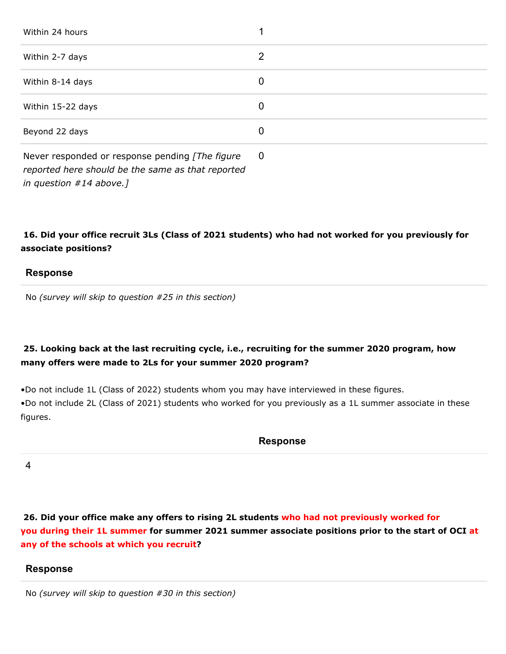| Within 24 hours                                                                                                                    |                  |
|------------------------------------------------------------------------------------------------------------------------------------|------------------|
| Within 2-7 days                                                                                                                    | 2                |
| Within 8-14 days                                                                                                                   | $\boldsymbol{0}$ |
| Within 15-22 days                                                                                                                  | $\boldsymbol{0}$ |
| Beyond 22 days                                                                                                                     | $\boldsymbol{0}$ |
| Never responded or response pending [The figure]<br>reported here should be the same as that reported<br>in question $#14$ above.] | 0                |

## **16. Did your office recruit 3Ls (Class of 2021 students) who had not worked for you previously for associate positions?**

#### **Response**

No *(survey will skip to question #25 in this section)*

## **25. Looking back at the last recruiting cycle, i.e., recruiting for the summer 2020 program, how many offers were made to 2Ls for your summer 2020 program?**

•Do not include 1L (Class of 2022) students whom you may have interviewed in these figures. •Do not include 2L (Class of 2021) students who worked for you previously as a 1L summer associate in these figures.

#### **Response**

4

**26. Did your office make any offers to rising 2L students who had not previously worked for you during their 1L summer for summer 2021 summer associate positions prior to the start of OCI at any of the schools at which you recruit?**

#### **Response**

No *(survey will skip to question #30 in this section)*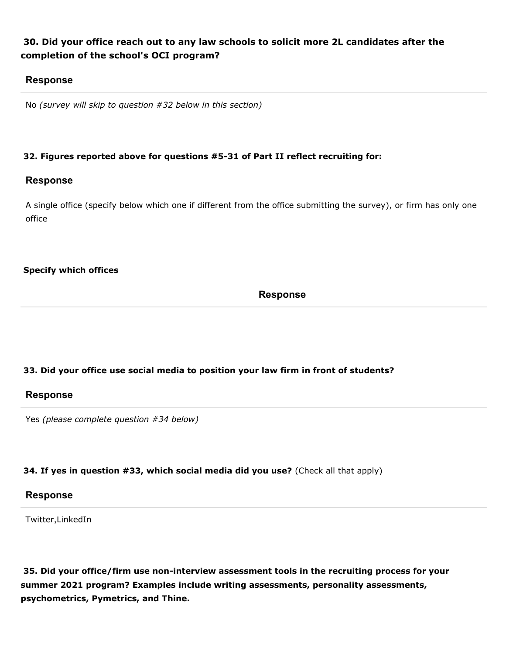## **30. Did your office reach out to any law schools to solicit more 2L candidates after the completion of the school's OCI program?**

### **Response**

No *(survey will skip to question #32 below in this section)*

#### **32. Figures reported above for questions #5-31 of Part II reflect recruiting for:**

### **Response**

A single office (specify below which one if different from the office submitting the survey), or firm has only one office

### **Specify which offices**

**Response**

## **33. Did your office use social media to position your law firm in front of students?**

#### **Response**

Yes *(please complete question #34 below)*

#### **34. If yes in question #33, which social media did you use?** (Check all that apply)

#### **Response**

Twitter,LinkedIn

**35. Did your office/firm use non-interview assessment tools in the recruiting process for your summer 2021 program? Examples include writing assessments, personality assessments, psychometrics, Pymetrics, and Thine.**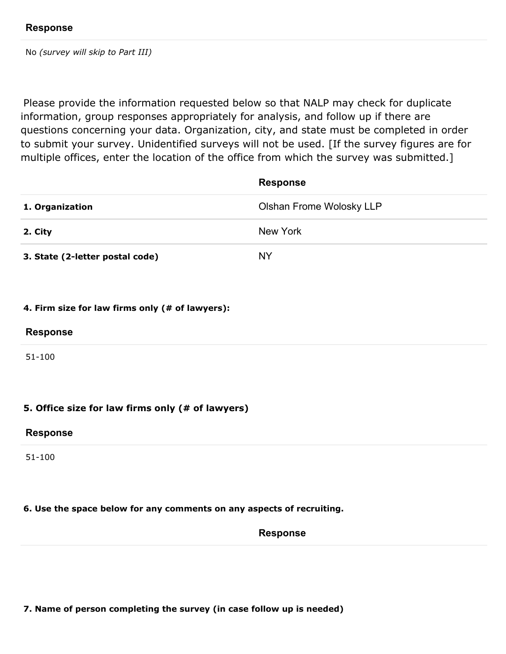No *(survey will skip to Part III)*

Please provide the information requested below so that NALP may check for duplicate information, group responses appropriately for analysis, and follow up if there are questions concerning your data. Organization, city, and state must be completed in order to submit your survey. Unidentified surveys will not be used. [If the survey figures are for multiple offices, enter the location of the office from which the survey was submitted.]

|                                 | <b>Response</b>                 |
|---------------------------------|---------------------------------|
| 1. Organization                 | <b>Olshan Frome Wolosky LLP</b> |
| 2. City                         | New York                        |
| 3. State (2-letter postal code) | <b>NY</b>                       |

|  |  | 4. Firm size for law firms only (# of lawyers): |  |  |  |
|--|--|-------------------------------------------------|--|--|--|
|  |  |                                                 |  |  |  |

#### **Response**

51-100

#### **5. Office size for law firms only (# of lawyers)**

#### **Response**

51-100

#### **6. Use the space below for any comments on any aspects of recruiting.**

**Response**